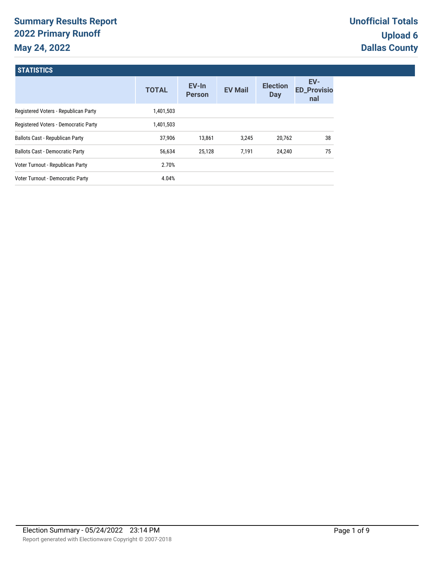# **Summary Results Report 2022 Primary Runoff May 24, 2022**

| <b>STATISTICS</b>                      |              |                        |                |                        |                                  |
|----------------------------------------|--------------|------------------------|----------------|------------------------|----------------------------------|
|                                        | <b>TOTAL</b> | EV-In<br><b>Person</b> | <b>EV Mail</b> | <b>Election</b><br>Day | EV-<br><b>ED_Provisio</b><br>nal |
| Registered Voters - Republican Party   | 1,401,503    |                        |                |                        |                                  |
| Registered Voters - Democratic Party   | 1,401,503    |                        |                |                        |                                  |
| <b>Ballots Cast - Republican Party</b> | 37,906       | 13.861                 | 3.245          | 20,762                 | 38                               |
| <b>Ballots Cast - Democratic Party</b> | 56,634       | 25,128                 | 7,191          | 24,240                 | 75                               |
| Voter Turnout - Republican Party       | 2.70%        |                        |                |                        |                                  |
| Voter Turnout - Democratic Party       | 4.04%        |                        |                |                        |                                  |
|                                        |              |                        |                |                        |                                  |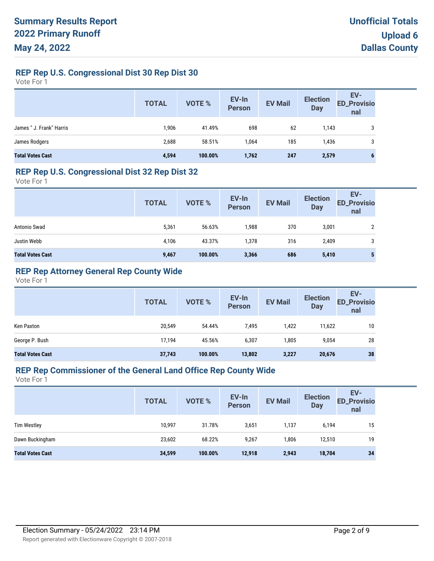# **REP Rep U.S. Congressional Dist 30 Rep Dist 30**

Vote For 1

|                          | <b>TOTAL</b> | VOTE %  | EV-In<br>Person | <b>EV Mail</b> | <b>Election</b><br>Day | EV-<br>ED_Provisio<br>nal |
|--------------------------|--------------|---------|-----------------|----------------|------------------------|---------------------------|
| James " J. Frank" Harris | 1,906        | 41.49%  | 698             | 62             | 1,143                  | 3                         |
| James Rodgers            | 2,688        | 58.51%  | 1,064           | 185            | 1,436                  | 3                         |
| <b>Total Votes Cast</b>  | 4,594        | 100.00% | 1,762           | 247            | 2,579                  | 6                         |

#### **REP Rep U.S. Congressional Dist 32 Rep Dist 32**

Vote For 1

|                         | <b>TOTAL</b> | VOTE %  | EV-In<br>Person | <b>EV Mail</b> | <b>Election</b><br><b>Day</b> | EV-<br><b>ED_Provisio</b><br>nal |
|-------------------------|--------------|---------|-----------------|----------------|-------------------------------|----------------------------------|
| Antonio Swad            | 5,361        | 56.63%  | 1,988           | 370            | 3,001                         | ŋ                                |
| Justin Webb             | 4,106        | 43.37%  | 1,378           | 316            | 2,409                         | 3                                |
| <b>Total Votes Cast</b> | 9,467        | 100.00% | 3,366           | 686            | 5,410                         | Ð                                |

# **REP Rep Attorney General Rep County Wide**

Vote For 1

|                         | <b>TOTAL</b> | VOTE %  | EV-In<br>Person | <b>EV Mail</b> | <b>Election</b><br><b>Day</b> | EV-<br><b>ED_Provisio</b><br>nal |
|-------------------------|--------------|---------|-----------------|----------------|-------------------------------|----------------------------------|
| Ken Paxton              | 20,549       | 54.44%  | 7,495           | 1,422          | 11,622                        | 10                               |
| George P. Bush          | 17,194       | 45.56%  | 6,307           | 1,805          | 9,054                         | 28                               |
| <b>Total Votes Cast</b> | 37,743       | 100.00% | 13,802          | 3,227          | 20,676                        | 38                               |

# **REP Rep Commissioner of the General Land Office Rep County Wide**

|                         | <b>TOTAL</b> | <b>VOTE %</b> | EV-In<br><b>Person</b> | <b>EV Mail</b> | <b>Election</b><br><b>Day</b> | EV-<br><b>ED_Provisio</b><br>nal |
|-------------------------|--------------|---------------|------------------------|----------------|-------------------------------|----------------------------------|
| <b>Tim Westley</b>      | 10,997       | 31.78%        | 3,651                  | 1,137          | 6,194                         | 15                               |
| Dawn Buckingham         | 23,602       | 68.22%        | 9,267                  | 1,806          | 12,510                        | 19                               |
| <b>Total Votes Cast</b> | 34,599       | 100.00%       | 12,918                 | 2,943          | 18,704                        | 34                               |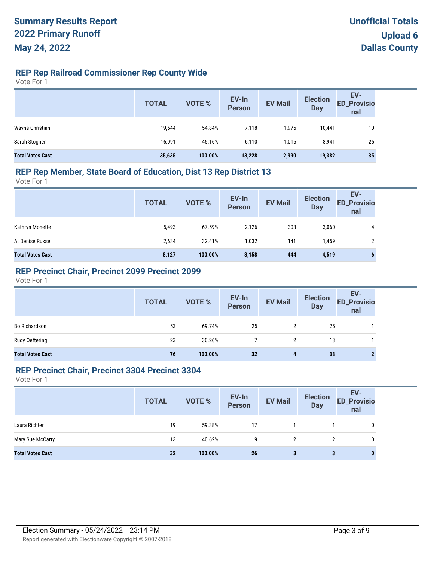# **REP Rep Railroad Commissioner Rep County Wide**

Vote For 1

|                         | <b>TOTAL</b> | VOTE %  | EV-In<br>Person | <b>EV Mail</b> | <b>Election</b><br><b>Day</b> | EV-<br>ED_Provisio<br>nal |
|-------------------------|--------------|---------|-----------------|----------------|-------------------------------|---------------------------|
| Wayne Christian         | 19,544       | 54.84%  | 7,118           | 1,975          | 10,441                        | 10                        |
| Sarah Stogner           | 16,091       | 45.16%  | 6,110           | 1.015          | 8,941                         | 25                        |
| <b>Total Votes Cast</b> | 35,635       | 100.00% | 13,228          | 2,990          | 19,382                        | 35                        |

### **REP Rep Member, State Board of Education, Dist 13 Rep District 13**

Vote For 1

|                         | <b>TOTAL</b> | VOTE %  | EV-In<br>Person | <b>EV Mail</b> | <b>Election</b><br><b>Day</b> | EV-<br><b>ED_Provisio</b><br>nal |
|-------------------------|--------------|---------|-----------------|----------------|-------------------------------|----------------------------------|
| Kathryn Monette         | 5,493        | 67.59%  | 2.126           | 303            | 3,060                         | 4                                |
| A. Denise Russell       | 2,634        | 32.41%  | 1,032           | 141            | 1,459                         | 2                                |
| <b>Total Votes Cast</b> | 8,127        | 100.00% | 3,158           | 444            | 4,519                         | 6                                |

### **REP Precinct Chair, Precinct 2099 Precinct 2099**

Vote For 1

|                         | <b>TOTAL</b> | VOTE %  | EV-In<br>Person | <b>EV Mail</b> | <b>Election</b><br>Day | EV-<br>ED_Provisio<br>nal |
|-------------------------|--------------|---------|-----------------|----------------|------------------------|---------------------------|
| <b>Bo Richardson</b>    | 53           | 69.74%  | 25              | 2              | 25                     |                           |
| Rudy Oeftering          | 23           | 30.26%  |                 |                | 13                     |                           |
| <b>Total Votes Cast</b> | 76           | 100.00% | 32              | 4              | 38                     |                           |

#### **REP Precinct Chair, Precinct 3304 Precinct 3304**

|                         | <b>TOTAL</b> | VOTE %  | EV-In<br>Person | <b>EV Mail</b> | <b>Election</b><br><b>Day</b> | EV-<br><b>ED_Provisio</b><br>nal |
|-------------------------|--------------|---------|-----------------|----------------|-------------------------------|----------------------------------|
| Laura Richter           | 19           | 59.38%  | 17              |                |                               | 0                                |
| Mary Sue McCarty        | 13           | 40.62%  | g               | 2              | 2                             | 0                                |
| <b>Total Votes Cast</b> | 32           | 100.00% | 26              | 3              | 3                             | $\bf{0}$                         |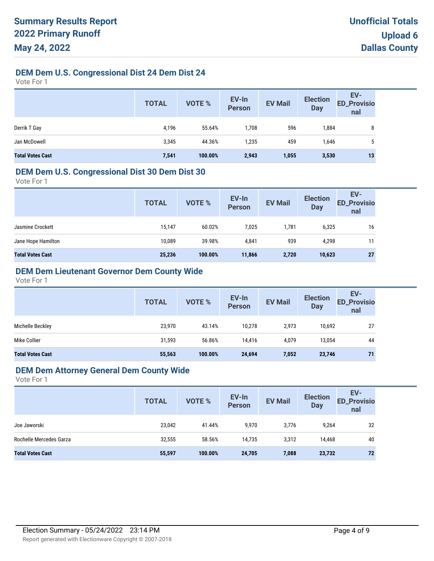# **DEM Dem U.S. Congressional Dist 24 Dem Dist 24**

Vote For 1

|                         | <b>TOTAL</b> | VOTE %  | EV-In<br>Person | <b>EV Mail</b> | <b>Election</b><br><b>Day</b> | EV-<br>ED_Provisio<br>nal |
|-------------------------|--------------|---------|-----------------|----------------|-------------------------------|---------------------------|
| Derrik T Gay            | 4,196        | 55.64%  | 1,708           | 596            | 1,884                         | 8                         |
| Jan McDowell            | 3,345        | 44.36%  | 1,235           | 459            | 1,646                         | ა                         |
| <b>Total Votes Cast</b> | 7,541        | 100.00% | 2,943           | 1,055          | 3,530                         | 13                        |

#### **DEM Dem U.S. Congressional Dist 30 Dem Dist 30**

Vote For 1

|                                                                           | <b>TOTAL</b> | VOTE % | EV-In<br>Person | <b>EV Mail</b> | <b>Election</b><br><b>Day</b> | EV-<br><b>ED_Provisio</b><br>nal |
|---------------------------------------------------------------------------|--------------|--------|-----------------|----------------|-------------------------------|----------------------------------|
| 7,025<br>60.02%<br>1,781<br>15,147<br>6,325<br>Jasmine Crockett           |              |        |                 |                |                               | 16                               |
| 939<br>39.98%<br>10,089<br>4,841<br>Jane Hope Hamilton<br>4,298           |              |        |                 |                |                               | 11                               |
| 25,236<br>100.00%<br>2,720<br><b>Total Votes Cast</b><br>10,623<br>11,866 |              |        |                 |                |                               | 27                               |

# **DEM Dem Lieutenant Governor Dem County Wide**

Vote For 1

|                         | <b>TOTAL</b> | VOTE %  | EV-In<br><b>Person</b> | <b>EV Mail</b> | <b>Election</b><br><b>Day</b> | EV-<br><b>ED_Provisio</b><br>nal |
|-------------------------|--------------|---------|------------------------|----------------|-------------------------------|----------------------------------|
| Michelle Beckley        | 23,970       | 43.14%  | 10,278                 | 2,973          | 10,692                        | 27                               |
| Mike Collier            | 31,593       | 56.86%  | 14,416                 | 4,079          | 13,054                        | 44                               |
| <b>Total Votes Cast</b> | 55,563       | 100.00% | 24,694                 | 7,052          | 23,746                        | 71                               |

#### **DEM Dem Attorney General Dem County Wide**

|                         | <b>TOTAL</b> | VOTE %  | EV-In<br>Person | <b>EV Mail</b> | <b>Election</b><br><b>Day</b> | EV-<br><b>ED_Provisio</b><br>nal |
|-------------------------|--------------|---------|-----------------|----------------|-------------------------------|----------------------------------|
| Joe Jaworski            | 23,042       | 41.44%  | 9,970           | 3,776          | 9,264                         | 32                               |
| Rochelle Mercedes Garza | 32,555       | 58.56%  | 14.735          | 3.312          | 14,468                        | 40                               |
| <b>Total Votes Cast</b> | 55,597       | 100.00% | 24,705          | 7,088          | 23,732                        | 72                               |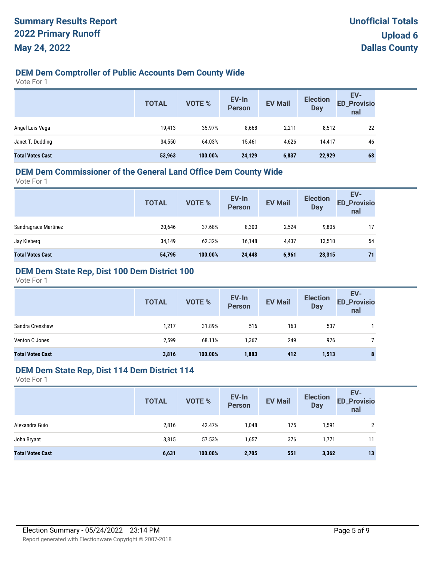# **DEM Dem Comptroller of Public Accounts Dem County Wide**

Vote For 1

|                         | <b>TOTAL</b> | VOTE %  | EV-In<br>Person | <b>EV Mail</b> | <b>Election</b><br><b>Day</b> | EV-<br><b>ED_Provisio</b><br>nal |
|-------------------------|--------------|---------|-----------------|----------------|-------------------------------|----------------------------------|
| Angel Luis Vega         | 19,413       | 35.97%  | 8,668           | 2,211          | 8,512                         | 22                               |
| Janet T. Dudding        | 34,550       | 64.03%  | 15,461          | 4.626          | 14,417                        | 46                               |
| <b>Total Votes Cast</b> | 53,963       | 100.00% | 24,129          | 6,837          | 22,929                        | 68                               |

# **DEM Dem Commissioner of the General Land Office Dem County Wide**

Vote For 1

| <b>TOTAL</b> | VOTE %  | EV-In<br><b>Person</b> | <b>EV Mail</b> | <b>Election</b><br><b>Day</b> | EV-<br><b>ED_Provisio</b><br>nal |
|--------------|---------|------------------------|----------------|-------------------------------|----------------------------------|
| 20,646       | 37.68%  | 8,300                  | 2,524          | 9,805                         | 17                               |
| 34,149       | 62.32%  | 16,148                 | 4,437          | 13,510                        | 54                               |
| 54,795       | 100.00% | 24,448                 | 6,961          | 23,315                        | 71                               |
|              |         |                        |                |                               |                                  |

# **DEM Dem State Rep, Dist 100 Dem District 100**

Vote For 1

|                         | <b>TOTAL</b> | <b>VOTE %</b> | EV-In<br><b>Person</b> | <b>EV Mail</b> | <b>Election</b><br><b>Day</b> | EV-<br><b>ED_Provisio</b><br>nal |
|-------------------------|--------------|---------------|------------------------|----------------|-------------------------------|----------------------------------|
| Sandra Crenshaw         | 1,217        | 31.89%        | 516                    | 163            | 537                           |                                  |
| Venton C Jones          | 2,599        | 68.11%        | 1,367                  | 249            | 976                           |                                  |
| <b>Total Votes Cast</b> | 3,816        | 100.00%       | 1,883                  | 412            | 1,513                         | 8                                |

#### **DEM Dem State Rep, Dist 114 Dem District 114**

|                         | <b>TOTAL</b> | VOTE %  | EV-In<br>Person | <b>EV Mail</b> | <b>Election</b><br><b>Day</b> | EV-<br><b>ED_Provisio</b><br>nal |
|-------------------------|--------------|---------|-----------------|----------------|-------------------------------|----------------------------------|
| Alexandra Guio          | 2,816        | 42.47%  | 1,048           | 175            | 1,591                         | 2                                |
| John Bryant             | 3,815        | 57.53%  | 1,657           | 376            | 1.771                         | 11                               |
| <b>Total Votes Cast</b> | 6,631        | 100.00% | 2,705           | 551            | 3,362                         | 13                               |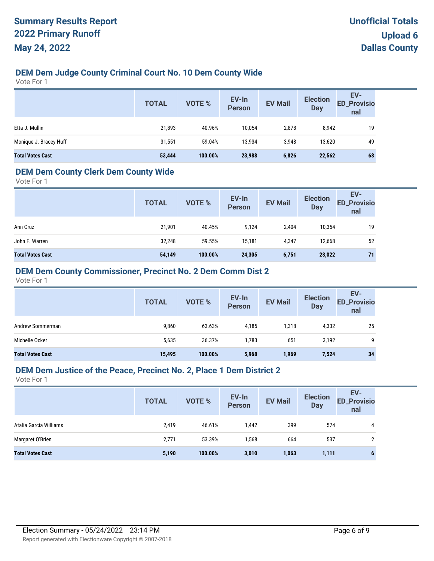# **DEM Dem Judge County Criminal Court No. 10 Dem County Wide**

Vote For 1

|                         | <b>TOTAL</b> | VOTE %  | EV-In<br><b>Person</b> | <b>EV Mail</b> | <b>Election</b><br><b>Day</b> | EV-<br>ED_Provisio<br>nal |
|-------------------------|--------------|---------|------------------------|----------------|-------------------------------|---------------------------|
| Etta J. Mullin          | 21,893       | 40.96%  | 10,054                 | 2,878          | 8,942                         | 19                        |
| Monique J. Bracey Huff  | 31,551       | 59.04%  | 13,934                 | 3,948          | 13,620                        | 49                        |
| <b>Total Votes Cast</b> | 53,444       | 100.00% | 23,988                 | 6,826          | 22,562                        | 68                        |

### **DEM Dem County Clerk Dem County Wide**

Vote For 1

|                         | <b>TOTAL</b> | <b>VOTE %</b> | EV-In<br><b>Person</b> | <b>EV Mail</b> | <b>Election</b><br><b>Day</b> | EV-<br><b>ED_Provisio</b><br>nal |
|-------------------------|--------------|---------------|------------------------|----------------|-------------------------------|----------------------------------|
| Ann Cruz                | 21,901       | 40.45%        | 9,124                  | 2,404          | 10,354                        | 19                               |
| John F. Warren          | 32,248       | 59.55%        | 15.181                 | 4,347          | 12,668                        | 52                               |
| <b>Total Votes Cast</b> | 54,149       | 100.00%       | 24,305                 | 6,751          | 23,022                        | 71                               |

### **DEM Dem County Commissioner, Precinct No. 2 Dem Comm Dist 2**

Vote For 1

|                         | <b>TOTAL</b> | <b>VOTE %</b> | EV-In<br>Person | <b>EV Mail</b> | <b>Election</b><br><b>Day</b> | EV-<br><b>ED_Provisio</b><br>nal |
|-------------------------|--------------|---------------|-----------------|----------------|-------------------------------|----------------------------------|
| Andrew Sommerman        | 9,860        | 63.63%        | 4,185           | 1,318          | 4,332                         | 25                               |
| Michelle Ocker          | 5,635        | 36.37%        | 1,783           | 651            | 3,192                         | q                                |
| <b>Total Votes Cast</b> | 15,495       | 100.00%       | 5,968           | 1,969          | 7,524                         | 34                               |

#### **DEM Dem Justice of the Peace, Precinct No. 2, Place 1 Dem District 2**

|                         | <b>TOTAL</b> | <b>VOTE %</b> | EV-In<br><b>Person</b> | <b>EV Mail</b> | <b>Election</b><br><b>Day</b> | EV-<br><b>ED_Provisio</b><br>nal |
|-------------------------|--------------|---------------|------------------------|----------------|-------------------------------|----------------------------------|
| Atalia Garcia Williams  | 2,419        | 46.61%        | 1,442                  | 399            | 574                           | 4                                |
| Margaret O'Brien        | 2,771        | 53.39%        | 1,568                  | 664            | 537                           |                                  |
| <b>Total Votes Cast</b> | 5,190        | 100.00%       | 3,010                  | 1,063          | 1,111                         |                                  |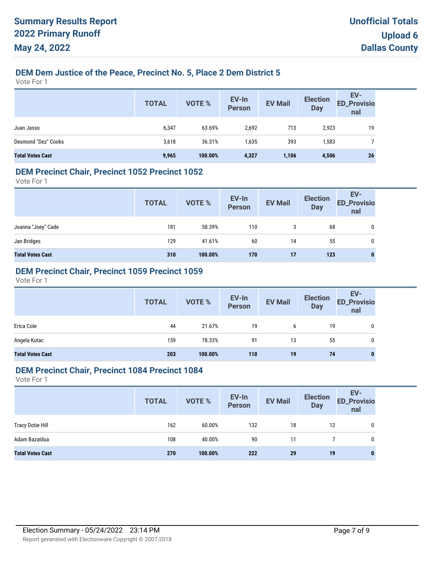# **DEM Dem Justice of the Peace, Precinct No. 5, Place 2 Dem District 5**

Vote For 1

|                         | <b>TOTAL</b> | <b>VOTE %</b> | EV-In<br>Person | <b>EV Mail</b> | <b>Election</b><br><b>Day</b> | EV-<br>ED_Provisio<br>nal |
|-------------------------|--------------|---------------|-----------------|----------------|-------------------------------|---------------------------|
| Juan Jasso              | 6,347        | 63.69%        | 2,692           | 713            | 2,923                         | 19                        |
| Desmond "Dez" Cooks     | 3,618        | 36.31%        | 1,635           | 393            | 1,583                         |                           |
| <b>Total Votes Cast</b> | 9,965        | 100.00%       | 4,327           | 1,106          | 4,506                         | 26                        |

#### **DEM Precinct Chair, Precinct 1052 Precinct 1052**

Vote For 1

|                         | <b>TOTAL</b> | VOTE %  | EV-In<br>Person | <b>EV Mail</b> | <b>Election</b><br><b>Day</b> | EV-<br>ED_Provisio<br>nal |
|-------------------------|--------------|---------|-----------------|----------------|-------------------------------|---------------------------|
| Joanna "Joey" Cade      | 181          | 58.39%  | 110             | 3              | 68                            | 0                         |
| Jan Bridges             | 129          | 41.61%  | 60              | 14             | 55                            | 0                         |
| <b>Total Votes Cast</b> | 310          | 100.00% | 170             | 17             | 123                           | 0                         |

# **DEM Precinct Chair, Precinct 1059 Precinct 1059**

Vote For 1

|                         | <b>TOTAL</b> | VOTE %  | EV-In<br>Person | <b>EV Mail</b> | <b>Election</b><br><b>Day</b> | EV-<br>ED_Provisio<br>nal |
|-------------------------|--------------|---------|-----------------|----------------|-------------------------------|---------------------------|
| Erica Cole              | 44           | 21.67%  | 19              | 6              | 19                            | 0                         |
| Angela Kutac            | 159          | 78.33%  | 91              | 13             | 55                            | 0                         |
| <b>Total Votes Cast</b> | 203          | 100.00% | 110             | 19             | 74                            | $\bf{0}$                  |

#### **DEM Precinct Chair, Precinct 1084 Precinct 1084**

|                         | <b>TOTAL</b> | <b>VOTE %</b> | EV-In<br>Person | <b>EV Mail</b> | <b>Election</b><br>Day | EV-<br><b>ED_Provisio</b><br>nal |
|-------------------------|--------------|---------------|-----------------|----------------|------------------------|----------------------------------|
| <b>Tracy Dotie Hill</b> | 162          | $60.00\%$     | 132             | 18             | 12                     | 0                                |
| Adam Bazaldua           | 108          | 40.00%        | 90              | 11             |                        | 0                                |
| <b>Total Votes Cast</b> | 270          | 100.00%       | 222             | 29             | 19                     | 0                                |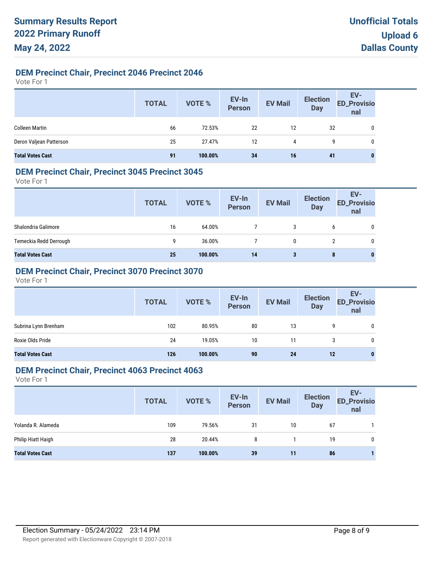### **DEM Precinct Chair, Precinct 2046 Precinct 2046**

Vote For 1

|                         | <b>TOTAL</b> | VOTE %  | EV-In<br>Person | <b>EV Mail</b> | <b>Election</b><br><b>Day</b> | EV-<br>ED_Provisio<br>nal |
|-------------------------|--------------|---------|-----------------|----------------|-------------------------------|---------------------------|
| <b>Colleen Martin</b>   | 66           | 72.53%  | 22              | 12             | 32                            | 0                         |
| Deron Valjean Patterson | 25           | 27.47%  | 12              | 4              | 9                             | 0                         |
| <b>Total Votes Cast</b> | 91           | 100.00% | 34              | 16             | 41                            | 0                         |

#### **DEM Precinct Chair, Precinct 3045 Precinct 3045**

Vote For 1

|                         | <b>TOTAL</b> | VOTE %  | EV-In<br>Person | <b>EV Mail</b> | <b>Election</b><br><b>Day</b> | EV-<br><b>ED_Provisio</b><br>nal |
|-------------------------|--------------|---------|-----------------|----------------|-------------------------------|----------------------------------|
| Shalondria Galimore     | 16           | 64.00%  |                 | 3              | 6                             | 0                                |
| Temeckia Redd Derrough  | 9            | 36.00%  |                 | 0              |                               | 0                                |
| <b>Total Votes Cast</b> | 25           | 100.00% | 14              | 3              | 8                             | 0                                |

# **DEM Precinct Chair, Precinct 3070 Precinct 3070**

Vote For 1

|                         | <b>TOTAL</b> | VOTE %  | EV-In<br>Person | <b>EV Mail</b> | <b>Election</b><br><b>Day</b> | EV-<br>ED_Provisio<br>nal |
|-------------------------|--------------|---------|-----------------|----------------|-------------------------------|---------------------------|
| Subrina Lynn Brenham    | 102          | 80.95%  | 80              | 13             | q                             | 0                         |
| Roxie Olds Pride        | 24           | 19.05%  | 10              | 11             |                               | 0                         |
| <b>Total Votes Cast</b> | 126          | 100.00% | 90              | 24             | 12                            | $\bf{0}$                  |

### **DEM Precinct Chair, Precinct 4063 Precinct 4063**

|                         | <b>TOTAL</b> | <b>VOTE %</b> | EV-In<br>Person | <b>EV Mail</b> | <b>Election</b><br><b>Day</b> | EV-<br><b>ED_Provisio</b><br>nal |
|-------------------------|--------------|---------------|-----------------|----------------|-------------------------------|----------------------------------|
| Yolanda R. Alameda      | 109          | 79.56%        | 31              | 10             | 67                            |                                  |
| Philip Hiatt Haigh      | 28           | 20.44%        | 8               |                | 19                            | 0                                |
| <b>Total Votes Cast</b> | 137          | 100.00%       | 39              | 11             | 86                            |                                  |